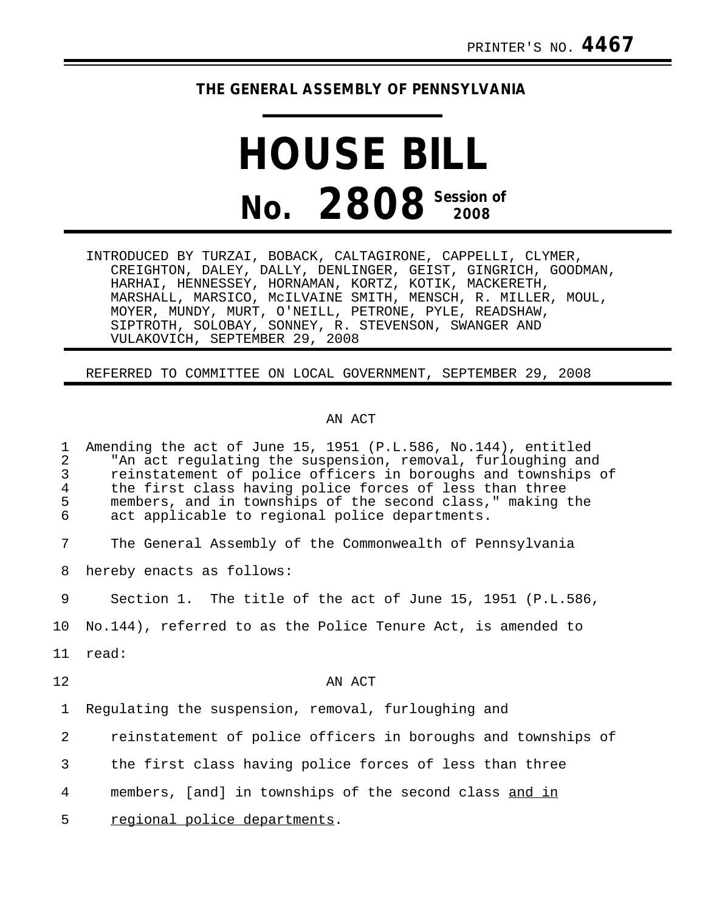## **THE GENERAL ASSEMBLY OF PENNSYLVANIA**

## **HOUSE BILL No.** 2808 **Session of**

INTRODUCED BY TURZAI, BOBACK, CALTAGIRONE, CAPPELLI, CLYMER, CREIGHTON, DALEY, DALLY, DENLINGER, GEIST, GINGRICH, GOODMAN, HARHAI, HENNESSEY, HORNAMAN, KORTZ, KOTIK, MACKERETH, MARSHALL, MARSICO, McILVAINE SMITH, MENSCH, R. MILLER, MOUL, MOYER, MUNDY, MURT, O'NEILL, PETRONE, PYLE, READSHAW, SIPTROTH, SOLOBAY, SONNEY, R. STEVENSON, SWANGER AND VULAKOVICH, SEPTEMBER 29, 2008

## REFERRED TO COMMITTEE ON LOCAL GOVERNMENT, SEPTEMBER 29, 2008

## AN ACT

| 1<br>$\overline{2}$<br>3<br>$\overline{4}$<br>5<br>6 | Amending the act of June 15, 1951 (P.L.586, No.144), entitled<br>"An act regulating the suspension, removal, furloughing and<br>reinstatement of police officers in boroughs and townships of<br>the first class having police forces of less than three<br>members, and in townships of the second class," making the<br>act applicable to regional police departments. |
|------------------------------------------------------|--------------------------------------------------------------------------------------------------------------------------------------------------------------------------------------------------------------------------------------------------------------------------------------------------------------------------------------------------------------------------|
| 7                                                    | The General Assembly of the Commonwealth of Pennsylvania                                                                                                                                                                                                                                                                                                                 |
| 8                                                    | hereby enacts as follows:                                                                                                                                                                                                                                                                                                                                                |
| 9                                                    | Section 1. The title of the act of June 15, 1951 (P.L.586,                                                                                                                                                                                                                                                                                                               |
| 10                                                   | No.144), referred to as the Police Tenure Act, is amended to                                                                                                                                                                                                                                                                                                             |
| 11                                                   | read:                                                                                                                                                                                                                                                                                                                                                                    |
| 12                                                   | AN ACT                                                                                                                                                                                                                                                                                                                                                                   |
| $\mathbf{1}$                                         | Regulating the suspension, removal, furloughing and                                                                                                                                                                                                                                                                                                                      |
| 2                                                    | reinstatement of police officers in boroughs and townships of                                                                                                                                                                                                                                                                                                            |
| 3                                                    | the first class having police forces of less than three                                                                                                                                                                                                                                                                                                                  |
| 4                                                    | members, [and] in townships of the second class and in                                                                                                                                                                                                                                                                                                                   |
| 5                                                    | regional police departments.                                                                                                                                                                                                                                                                                                                                             |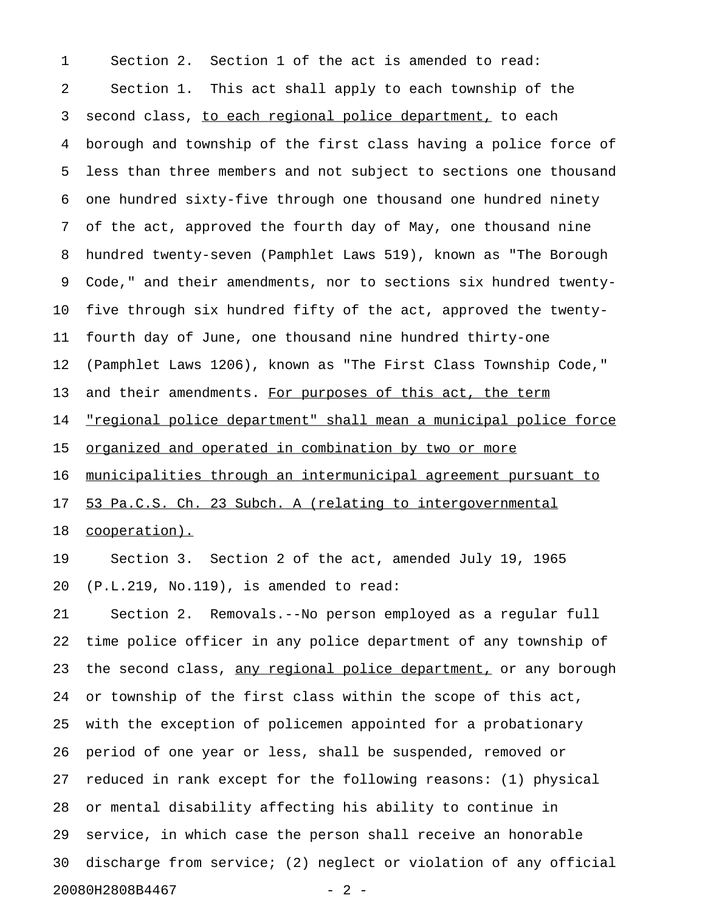2 Section 1. This act shall apply to each township of the 3 second class, to each regional police department, to each 4 borough and township of the first class having a police force of 5 less than three members and not subject to sections one thousand 6 one hundred sixty-five through one thousand one hundred ninety 7 of the act, approved the fourth day of May, one thousand nine 8 hundred twenty-seven (Pamphlet Laws 519), known as "The Borough 9 Code," and their amendments, nor to sections six hundred twenty-10 five through six hundred fifty of the act, approved the twenty-11 fourth day of June, one thousand nine hundred thirty-one 12 (Pamphlet Laws 1206), known as "The First Class Township Code," 13 and their amendments. For purposes of this act, the term 14 "regional police department" shall mean a municipal police force 15 <u>organized and operated in combination by two or more</u> 16 municipalities through an intermunicipal agreement pursuant to 17 53 Pa.C.S. Ch. 23 Subch. A (relating to intergovernmental 18 cooperation). 19 Section 3. Section 2 of the act, amended July 19, 1965 20 (P.L.219, No.119), is amended to read: 21 Section 2. Removals.--No person employed as a regular full 22 time police officer in any police department of any township of 23 the second class, any regional police department, or any borough 24 or township of the first class within the scope of this act, 25 with the exception of policemen appointed for a probationary 26 period of one year or less, shall be suspended, removed or 27 reduced in rank except for the following reasons: (1) physical 28 or mental disability affecting his ability to continue in 29 service, in which case the person shall receive an honorable 30 discharge from service; (2) neglect or violation of any official 20080H2808B4467 - 2 -

1 Section 2. Section 1 of the act is amended to read: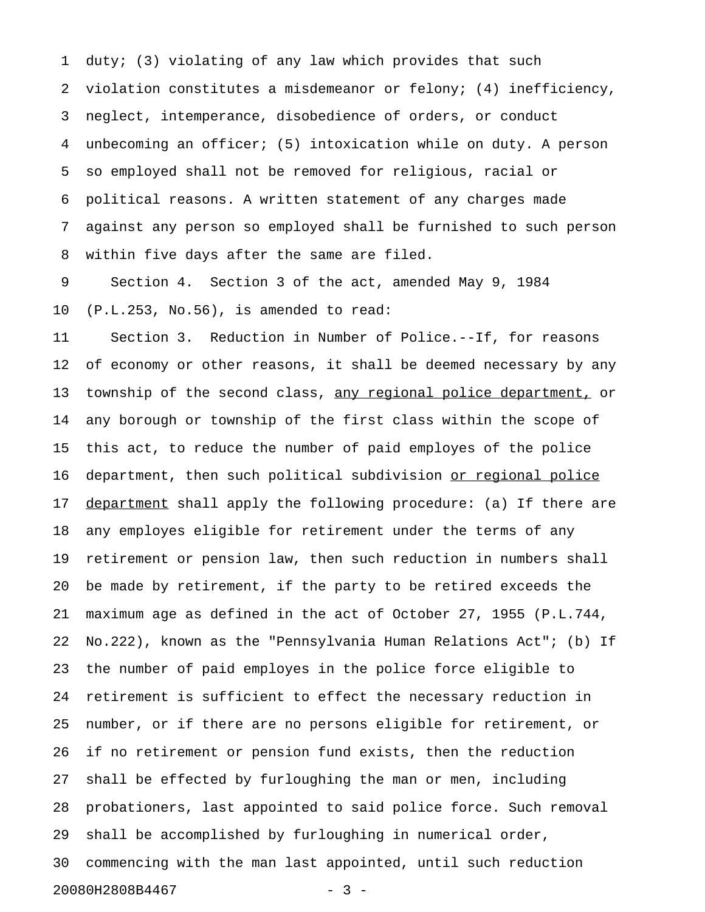1 duty; (3) violating of any law which provides that such 2 violation constitutes a misdemeanor or felony; (4) inefficiency, 3 neglect, intemperance, disobedience of orders, or conduct 4 unbecoming an officer; (5) intoxication while on duty. A person 5 so employed shall not be removed for religious, racial or 6 political reasons. A written statement of any charges made 7 against any person so employed shall be furnished to such person 8 within five days after the same are filed.

9 Section 4. Section 3 of the act, amended May 9, 1984 10 (P.L.253, No.56), is amended to read:

11 Section 3. Reduction in Number of Police.--If, for reasons 12 of economy or other reasons, it shall be deemed necessary by any 13 township of the second class, any regional police department, or 14 any borough or township of the first class within the scope of 15 this act, to reduce the number of paid employes of the police 16 department, then such political subdivision or regional police 17 <u>department</u> shall apply the following procedure: (a) If there are 18 any employes eligible for retirement under the terms of any 19 retirement or pension law, then such reduction in numbers shall 20 be made by retirement, if the party to be retired exceeds the 21 maximum age as defined in the act of October 27, 1955 (P.L.744, 22 No.222), known as the "Pennsylvania Human Relations Act"; (b) If 23 the number of paid employes in the police force eligible to 24 retirement is sufficient to effect the necessary reduction in 25 number, or if there are no persons eligible for retirement, or 26 if no retirement or pension fund exists, then the reduction 27 shall be effected by furloughing the man or men, including 28 probationers, last appointed to said police force. Such removal 29 shall be accomplished by furloughing in numerical order, 30 commencing with the man last appointed, until such reduction 20080H2808B4467 - 3 -